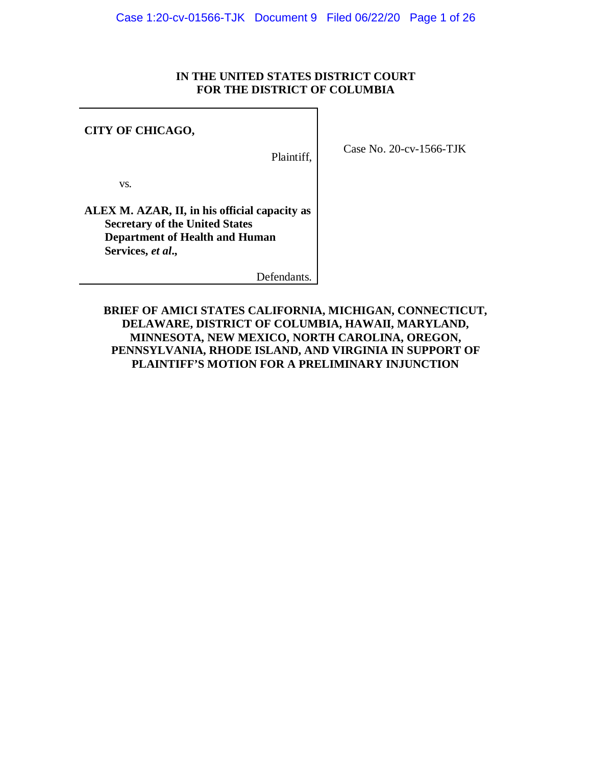### **IN THE UNITED STATES DISTRICT COURT FOR THE DISTRICT OF COLUMBIA**

### **CITY OF CHICAGO,**

Plaintiff,

Case No. 20-cv-1566-TJK

vs*.*

**ALEX M. AZAR, II, in his official capacity as Secretary of the United States Department of Health and Human Services,** *et al***.,**

Defendants*.*

**BRIEF OF AMICI STATES CALIFORNIA, MICHIGAN, CONNECTICUT, DELAWARE, DISTRICT OF COLUMBIA, HAWAII, MARYLAND, MINNESOTA, NEW MEXICO, NORTH CAROLINA, OREGON, PENNSYLVANIA, RHODE ISLAND, AND VIRGINIA IN SUPPORT OF PLAINTIFF'S MOTION FOR A PRELIMINARY INJUNCTION**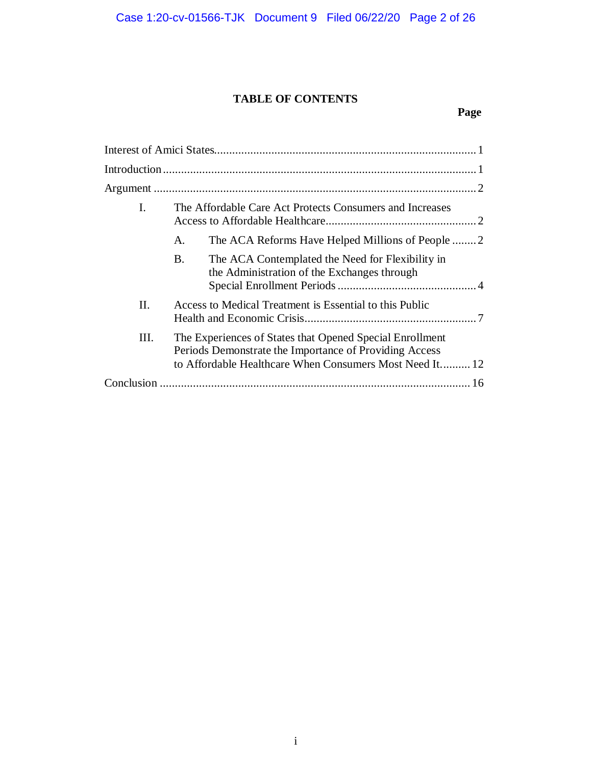# **TABLE OF CONTENTS**

# **Page**

| L    |                                                                                                                                                                               | The Affordable Care Act Protects Consumers and Increases                                        |
|------|-------------------------------------------------------------------------------------------------------------------------------------------------------------------------------|-------------------------------------------------------------------------------------------------|
|      | A.                                                                                                                                                                            |                                                                                                 |
|      | Β.                                                                                                                                                                            | The ACA Contemplated the Need for Flexibility in<br>the Administration of the Exchanges through |
| Π.   | Access to Medical Treatment is Essential to this Public                                                                                                                       |                                                                                                 |
| III. | The Experiences of States that Opened Special Enrollment<br>Periods Demonstrate the Importance of Providing Access<br>to Affordable Healthcare When Consumers Most Need It 12 |                                                                                                 |
|      |                                                                                                                                                                               |                                                                                                 |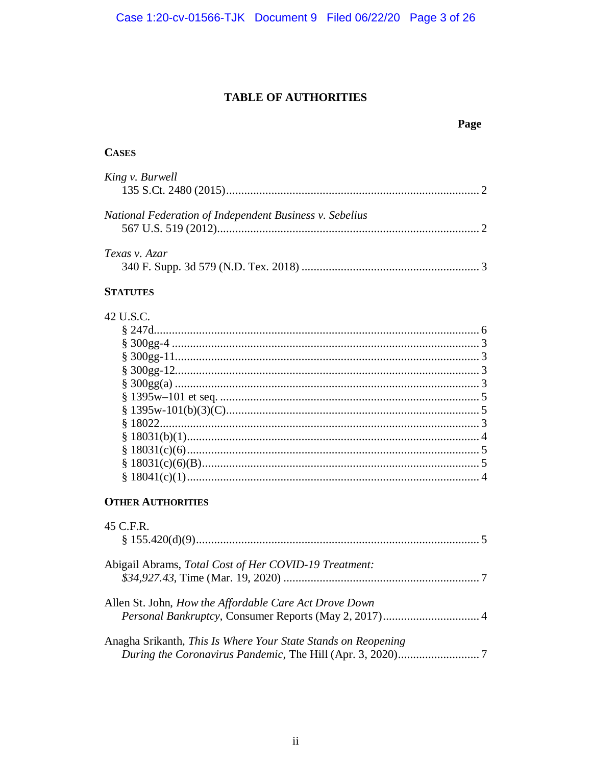# **TABLE OF AUTHORITIES**

### Page

### **CASES**

| King v. Burwell                                         |  |
|---------------------------------------------------------|--|
| National Federation of Independent Business v. Sebelius |  |
| Texas v. Azar                                           |  |

### **STATUTES**

| 42 U.S.C. |  |
|-----------|--|
|           |  |
|           |  |
|           |  |
|           |  |
|           |  |
|           |  |
|           |  |
|           |  |
|           |  |
|           |  |
|           |  |
|           |  |
|           |  |

### **OTHER AUTHORITIES**

| 45 C.F.R.                                                     |
|---------------------------------------------------------------|
| Abigail Abrams, Total Cost of Her COVID-19 Treatment:         |
| Allen St. John, How the Affordable Care Act Drove Down        |
| Anagha Srikanth, This Is Where Your State Stands on Reopening |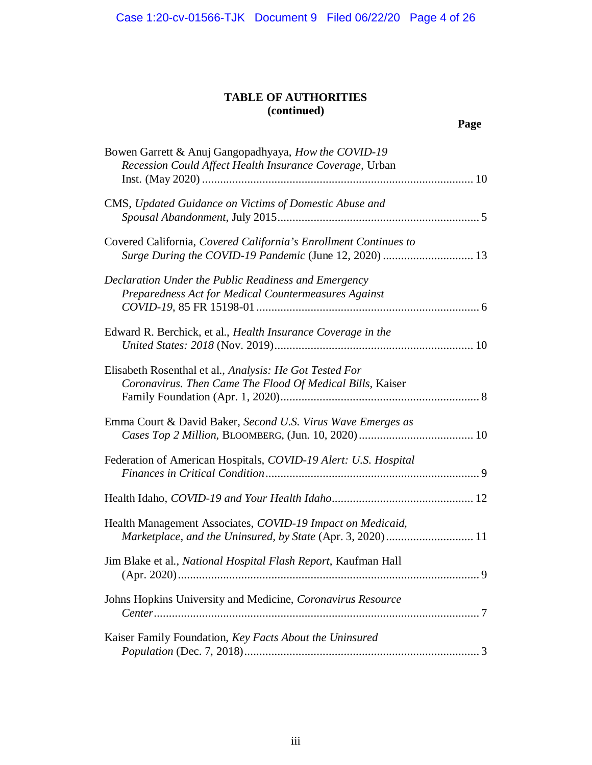| Bowen Garrett & Anuj Gangopadhyaya, How the COVID-19                |
|---------------------------------------------------------------------|
| Recession Could Affect Health Insurance Coverage, Urban             |
|                                                                     |
|                                                                     |
| CMS, Updated Guidance on Victims of Domestic Abuse and              |
|                                                                     |
|                                                                     |
| Covered California, Covered California's Enrollment Continues to    |
| Surge During the COVID-19 Pandemic (June 12, 2020)  13              |
|                                                                     |
| Declaration Under the Public Readiness and Emergency                |
|                                                                     |
| Preparedness Act for Medical Countermeasures Against                |
|                                                                     |
|                                                                     |
| Edward R. Berchick, et al., <i>Health Insurance Coverage in the</i> |
|                                                                     |
|                                                                     |
| Elisabeth Rosenthal et al., Analysis: He Got Tested For             |
| Coronavirus. Then Came The Flood Of Medical Bills, Kaiser           |
|                                                                     |
|                                                                     |
| Emma Court & David Baker, Second U.S. Virus Wave Emerges as         |
|                                                                     |
|                                                                     |
| Federation of American Hospitals, COVID-19 Alert: U.S. Hospital     |
|                                                                     |
|                                                                     |
|                                                                     |
|                                                                     |
| Health Management Associates, COVID-19 Impact on Medicaid,          |
|                                                                     |
| Marketplace, and the Uninsured, by State (Apr. 3, 2020) 11          |
|                                                                     |
| Jim Blake et al., National Hospital Flash Report, Kaufman Hall      |
| 9                                                                   |
|                                                                     |
| Johns Hopkins University and Medicine, Coronavirus Resource         |
|                                                                     |
|                                                                     |
| Kaiser Family Foundation, Key Facts About the Uninsured             |
|                                                                     |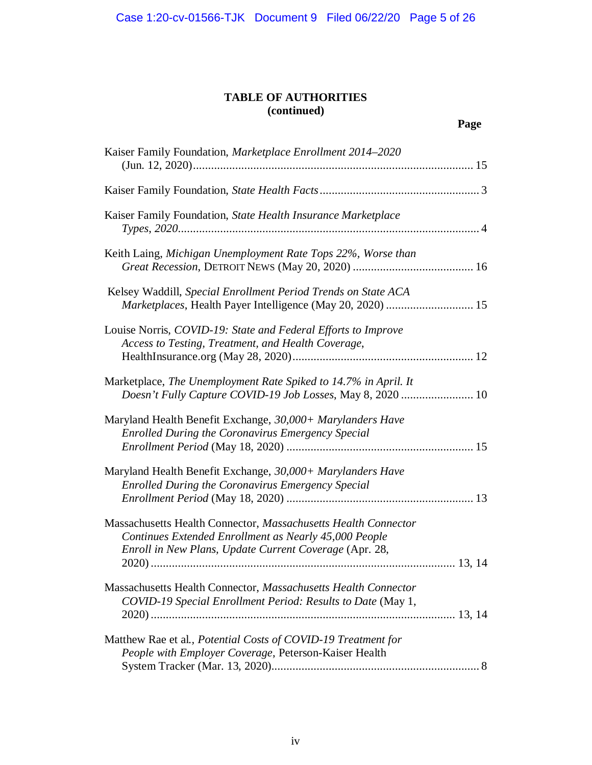| Kaiser Family Foundation, Marketplace Enrollment 2014-2020                                                                                                                        |  |
|-----------------------------------------------------------------------------------------------------------------------------------------------------------------------------------|--|
|                                                                                                                                                                                   |  |
| Kaiser Family Foundation, State Health Insurance Marketplace                                                                                                                      |  |
| Keith Laing, Michigan Unemployment Rate Tops 22%, Worse than                                                                                                                      |  |
| Kelsey Waddill, Special Enrollment Period Trends on State ACA<br>Marketplaces, Health Payer Intelligence (May 20, 2020)  15                                                       |  |
| Louise Norris, COVID-19: State and Federal Efforts to Improve<br>Access to Testing, Treatment, and Health Coverage,                                                               |  |
| Marketplace, The Unemployment Rate Spiked to 14.7% in April. It                                                                                                                   |  |
| Maryland Health Benefit Exchange, 30,000+ Marylanders Have<br><b>Enrolled During the Coronavirus Emergency Special</b>                                                            |  |
| Maryland Health Benefit Exchange, 30,000+ Marylanders Have<br><b>Enrolled During the Coronavirus Emergency Special</b>                                                            |  |
| Massachusetts Health Connector, Massachusetts Health Connector<br>Continues Extended Enrollment as Nearly 45,000 People<br>Enroll in New Plans, Update Current Coverage (Apr. 28, |  |
| Massachusetts Health Connector, Massachusetts Health Connector<br>COVID-19 Special Enrollment Period: Results to Date (May 1,                                                     |  |
| Matthew Rae et al., Potential Costs of COVID-19 Treatment for<br>People with Employer Coverage, Peterson-Kaiser Health                                                            |  |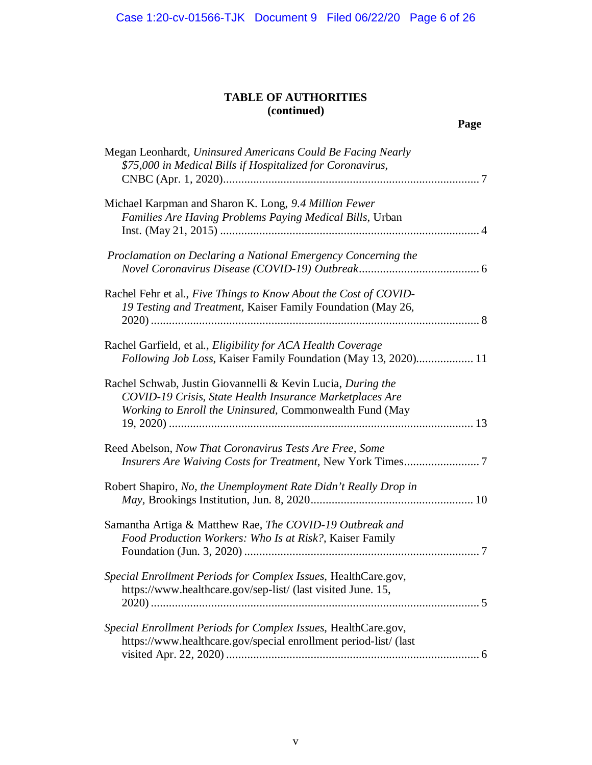| Megan Leonhardt, Uninsured Americans Could Be Facing Nearly<br>\$75,000 in Medical Bills if Hospitalized for Coronavirus,                                                          |
|------------------------------------------------------------------------------------------------------------------------------------------------------------------------------------|
| Michael Karpman and Sharon K. Long, 9.4 Million Fewer<br>Families Are Having Problems Paying Medical Bills, Urban                                                                  |
| Proclamation on Declaring a National Emergency Concerning the                                                                                                                      |
| Rachel Fehr et al., Five Things to Know About the Cost of COVID-<br>19 Testing and Treatment, Kaiser Family Foundation (May 26,                                                    |
| Rachel Garfield, et al., <i>Eligibility for ACA Health Coverage</i><br>Following Job Loss, Kaiser Family Foundation (May 13, 2020) 11                                              |
| Rachel Schwab, Justin Giovannelli & Kevin Lucia, During the<br>COVID-19 Crisis, State Health Insurance Marketplaces Are<br>Working to Enroll the Uninsured, Commonwealth Fund (May |
| Reed Abelson, Now That Coronavirus Tests Are Free, Some                                                                                                                            |
| Robert Shapiro, No, the Unemployment Rate Didn't Really Drop in                                                                                                                    |
| Samantha Artiga & Matthew Rae, The COVID-19 Outbreak and<br>Food Production Workers: Who Is at Risk?, Kaiser Family                                                                |
| Special Enrollment Periods for Complex Issues, HealthCare.gov,<br>https://www.healthcare.gov/sep-list/ (last visited June. 15,                                                     |
| Special Enrollment Periods for Complex Issues, HealthCare.gov,<br>https://www.healthcare.gov/special enrollment period-list/ (last                                                 |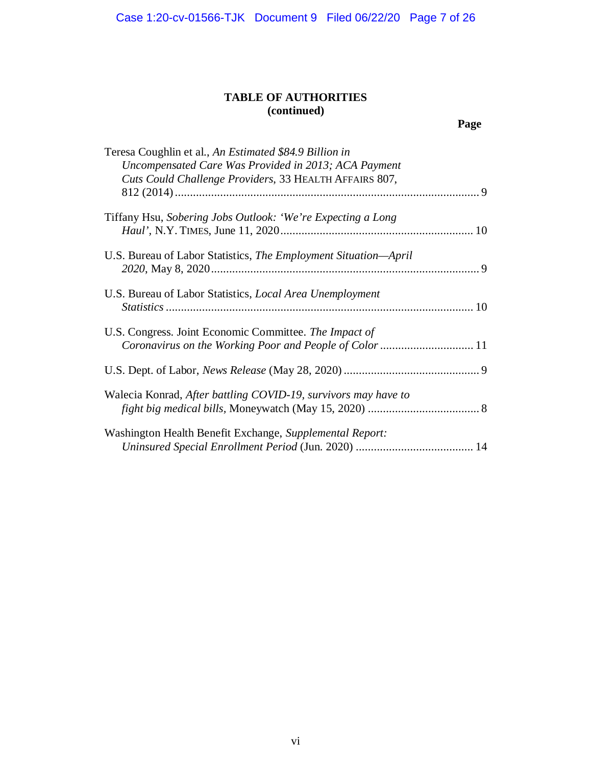| Teresa Coughlin et al., An Estimated \$84.9 Billion in<br>Uncompensated Care Was Provided in 2013; ACA Payment<br>Cuts Could Challenge Providers, 33 HEALTH AFFAIRS 807, |  |
|--------------------------------------------------------------------------------------------------------------------------------------------------------------------------|--|
| Tiffany Hsu, Sobering Jobs Outlook: 'We're Expecting a Long                                                                                                              |  |
| U.S. Bureau of Labor Statistics, The Employment Situation-April                                                                                                          |  |
| U.S. Bureau of Labor Statistics, Local Area Unemployment                                                                                                                 |  |
| U.S. Congress. Joint Economic Committee. The Impact of                                                                                                                   |  |
|                                                                                                                                                                          |  |
| Walecia Konrad, After battling COVID-19, survivors may have to                                                                                                           |  |
| Washington Health Benefit Exchange, Supplemental Report:                                                                                                                 |  |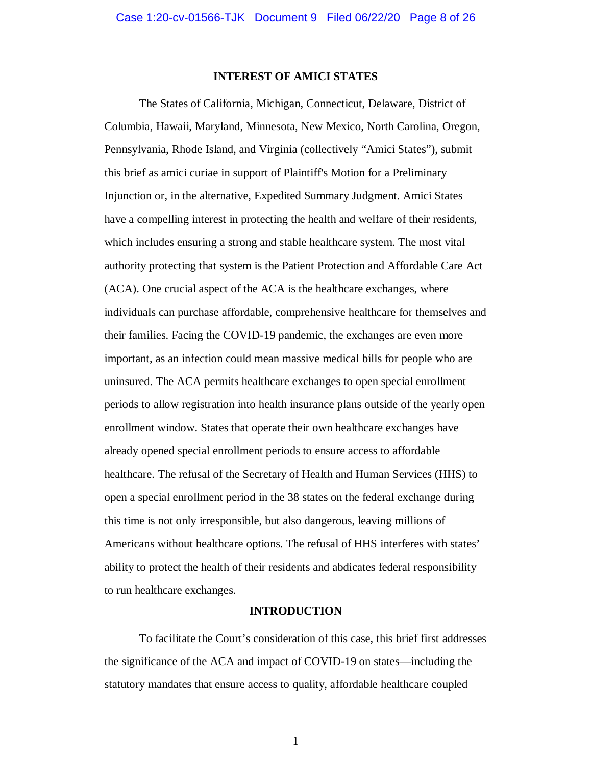#### **INTEREST OF AMICI STATES**

The States of California, Michigan, Connecticut, Delaware, District of Columbia, Hawaii, Maryland, Minnesota, New Mexico, North Carolina, Oregon, Pennsylvania, Rhode Island, and Virginia (collectively "Amici States"), submit this brief as amici curiae in support of Plaintiff's Motion for a Preliminary Injunction or, in the alternative, Expedited Summary Judgment. Amici States have a compelling interest in protecting the health and welfare of their residents, which includes ensuring a strong and stable healthcare system. The most vital authority protecting that system is the Patient Protection and Affordable Care Act (ACA). One crucial aspect of the ACA is the healthcare exchanges, where individuals can purchase affordable, comprehensive healthcare for themselves and their families. Facing the COVID-19 pandemic, the exchanges are even more important, as an infection could mean massive medical bills for people who are uninsured. The ACA permits healthcare exchanges to open special enrollment periods to allow registration into health insurance plans outside of the yearly open enrollment window. States that operate their own healthcare exchanges have already opened special enrollment periods to ensure access to affordable healthcare. The refusal of the Secretary of Health and Human Services (HHS) to open a special enrollment period in the 38 states on the federal exchange during this time is not only irresponsible, but also dangerous, leaving millions of Americans without healthcare options. The refusal of HHS interferes with states' ability to protect the health of their residents and abdicates federal responsibility to run healthcare exchanges.

#### **INTRODUCTION**

To facilitate the Court's consideration of this case, this brief first addresses the significance of the ACA and impact of COVID-19 on states—including the statutory mandates that ensure access to quality, affordable healthcare coupled

1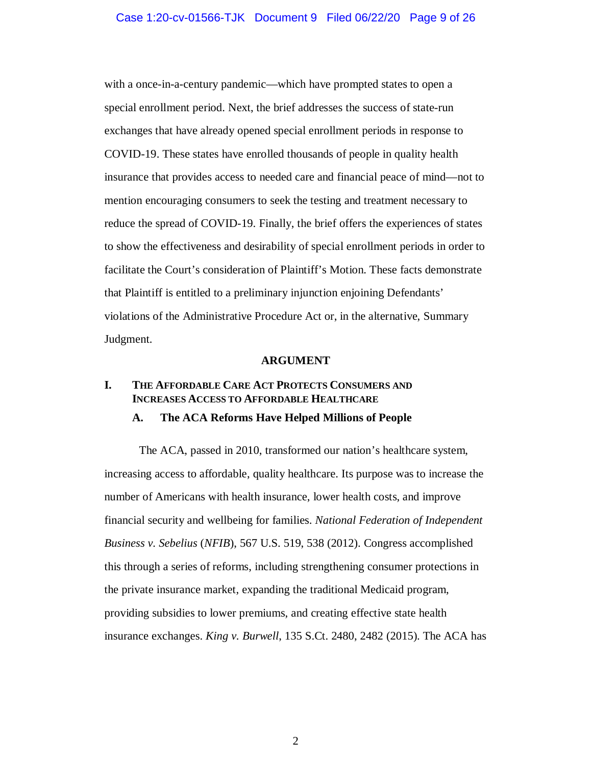with a once-in-a-century pandemic—which have prompted states to open a special enrollment period. Next, the brief addresses the success of state-run exchanges that have already opened special enrollment periods in response to COVID-19. These states have enrolled thousands of people in quality health insurance that provides access to needed care and financial peace of mind—not to mention encouraging consumers to seek the testing and treatment necessary to reduce the spread of COVID-19. Finally, the brief offers the experiences of states to show the effectiveness and desirability of special enrollment periods in order to facilitate the Court's consideration of Plaintiff's Motion. These facts demonstrate that Plaintiff is entitled to a preliminary injunction enjoining Defendants' violations of the Administrative Procedure Act or, in the alternative, Summary Judgment.

#### **ARGUMENT**

# **I. THE AFFORDABLE CARE ACT PROTECTS CONSUMERS AND INCREASES ACCESS TO AFFORDABLE HEALTHCARE**

### **A. The ACA Reforms Have Helped Millions of People**

The ACA, passed in 2010, transformed our nation's healthcare system, increasing access to affordable, quality healthcare. Its purpose was to increase the number of Americans with health insurance, lower health costs, and improve financial security and wellbeing for families. *National Federation of Independent Business v. Sebelius* (*NFIB*), 567 U.S. 519, 538 (2012). Congress accomplished this through a series of reforms, including strengthening consumer protections in the private insurance market, expanding the traditional Medicaid program, providing subsidies to lower premiums, and creating effective state health insurance exchanges. *King v. Burwell*, 135 S.Ct. 2480, 2482 (2015). The ACA has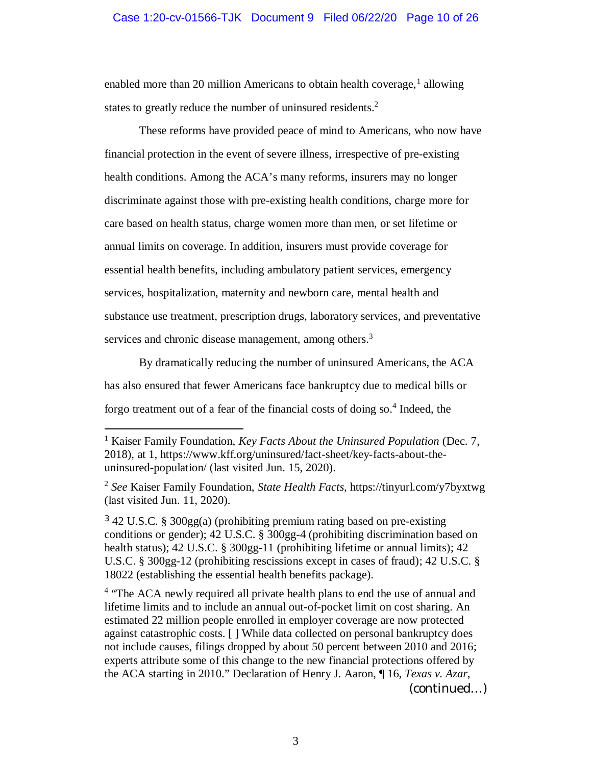#### Case 1:20-cv-01566-TJK Document 9 Filed 06/22/20 Page 10 of 26

enabled more than 20 million Americans to obtain health coverage,<sup>1</sup> allowing states to greatly reduce the number of uninsured residents.<sup>2</sup>

These reforms have provided peace of mind to Americans, who now have financial protection in the event of severe illness, irrespective of pre-existing health conditions. Among the ACA's many reforms, insurers may no longer discriminate against those with pre-existing health conditions, charge more for care based on health status, charge women more than men, or set lifetime or annual limits on coverage. In addition, insurers must provide coverage for essential health benefits, including ambulatory patient services, emergency services, hospitalization, maternity and newborn care, mental health and substance use treatment, prescription drugs, laboratory services, and preventative services and chronic disease management, among others.<sup>3</sup>

By dramatically reducing the number of uninsured Americans, the ACA has also ensured that fewer Americans face bankruptcy due to medical bills or forgo treatment out of a fear of the financial costs of doing so.<sup>4</sup> Indeed, the

<sup>3</sup> 42 U.S.C. § 300gg(a) (prohibiting premium rating based on pre-existing conditions or gender); 42 U.S.C. § 300gg-4 (prohibiting discrimination based on health status); 42 U.S.C. § 300gg-11 (prohibiting lifetime or annual limits); 42 U.S.C. § 300gg-12 (prohibiting rescissions except in cases of fraud); 42 U.S.C. § 18022 (establishing the essential health benefits package).

<sup>4</sup> "The ACA newly required all private health plans to end the use of annual and lifetime limits and to include an annual out-of-pocket limit on cost sharing. An estimated 22 million people enrolled in employer coverage are now protected against catastrophic costs. [ ] While data collected on personal bankruptcy does not include causes, filings dropped by about 50 percent between 2010 and 2016; experts attribute some of this change to the new financial protections offered by the ACA starting in 2010." Declaration of Henry J. Aaron, ¶ 16, *Texas v. Azar*,

(continued…)

<sup>&</sup>lt;sup>1</sup> Kaiser Family Foundation, *Key Facts About the Uninsured Population* (Dec. 7, 2018), at 1, https://www.kff.org/uninsured/fact-sheet/key-facts-about-theuninsured-population/ (last visited Jun. 15, 2020).

<sup>2</sup> *See* Kaiser Family Foundation, *State Health Facts*, https://tinyurl.com/y7byxtwg (last visited Jun. 11, 2020).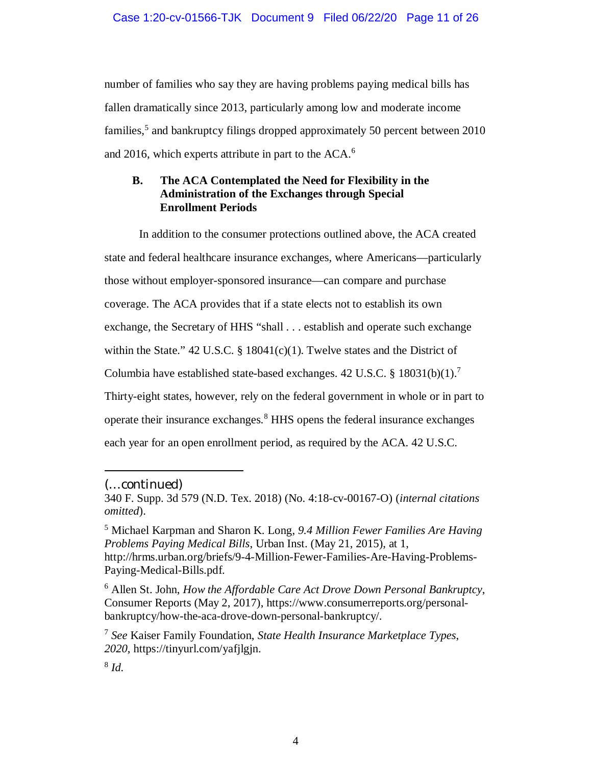number of families who say they are having problems paying medical bills has fallen dramatically since 2013, particularly among low and moderate income families,<sup>5</sup> and bankruptcy filings dropped approximately 50 percent between 2010 and 2016, which experts attribute in part to the ACA.<sup>6</sup>

### **B. The ACA Contemplated the Need for Flexibility in the Administration of the Exchanges through Special Enrollment Periods**

In addition to the consumer protections outlined above, the ACA created state and federal healthcare insurance exchanges, where Americans—particularly those without employer-sponsored insurance—can compare and purchase coverage. The ACA provides that if a state elects not to establish its own exchange, the Secretary of HHS "shall . . . establish and operate such exchange within the State." 42 U.S.C.  $\S$  18041(c)(1). Twelve states and the District of Columbia have established state-based exchanges.  $42 \text{ U.S.C.}$  §  $18031(b)(1).$ <sup>7</sup> Thirty-eight states, however, rely on the federal government in whole or in part to operate their insurance exchanges.<sup>8</sup> HHS opens the federal insurance exchanges each year for an open enrollment period, as required by the ACA. 42 U.S.C.

<sup>(…</sup>continued)

<sup>340</sup> F. Supp. 3d 579 (N.D. Tex. 2018) (No. 4:18-cv-00167-O) (*internal citations omitted*).

<sup>5</sup> Michael Karpman and Sharon K. Long, *9.4 Million Fewer Families Are Having Problems Paying Medical Bills*, Urban Inst. (May 21, 2015), at 1, http://hrms.urban.org/briefs/9-4-Million-Fewer-Families-Are-Having-Problems-Paying-Medical-Bills.pdf.

<sup>6</sup> Allen St. John, *How the Affordable Care Act Drove Down Personal Bankruptcy*, Consumer Reports (May 2, 2017), https://www.consumerreports.org/personalbankruptcy/how-the-aca-drove-down-personal-bankruptcy/.

<sup>7</sup> *See* Kaiser Family Foundation, *State Health Insurance Marketplace Types*, *2020*, https://tinyurl.com/yafjlgjn.

<sup>8</sup> *Id.*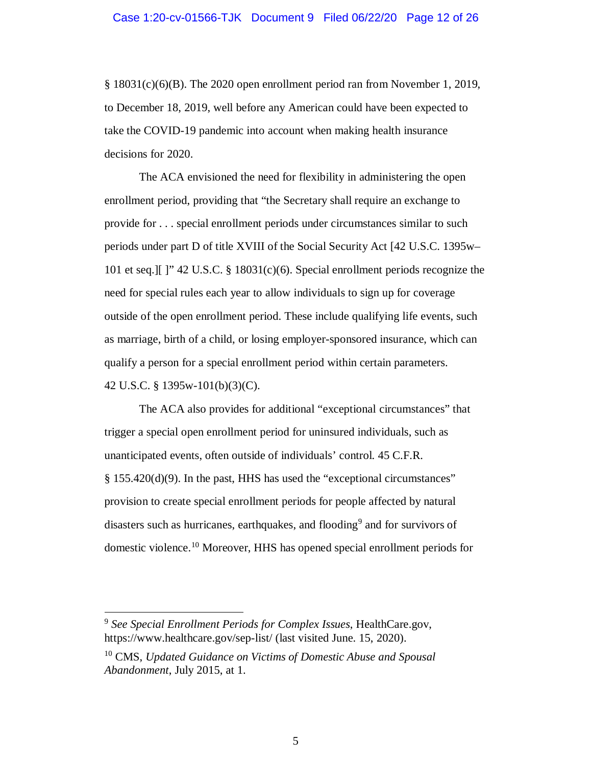§ 18031(c)(6)(B). The 2020 open enrollment period ran from November 1, 2019, to December 18, 2019, well before any American could have been expected to take the COVID-19 pandemic into account when making health insurance decisions for 2020.

The ACA envisioned the need for flexibility in administering the open enrollment period, providing that "the Secretary shall require an exchange to provide for . . . special enrollment periods under circumstances similar to such periods under part D of title XVIII of the Social Security Act [42 U.S.C. 1395w– 101 et seq.][ ]" 42 U.S.C. § 18031(c)(6). Special enrollment periods recognize the need for special rules each year to allow individuals to sign up for coverage outside of the open enrollment period. These include qualifying life events, such as marriage, birth of a child, or losing employer-sponsored insurance, which can qualify a person for a special enrollment period within certain parameters. 42 U.S.C. § 1395w-101(b)(3)(C).

The ACA also provides for additional "exceptional circumstances" that trigger a special open enrollment period for uninsured individuals, such as unanticipated events, often outside of individuals' control. 45 C.F.R. § 155.420(d)(9). In the past, HHS has used the "exceptional circumstances" provision to create special enrollment periods for people affected by natural disasters such as hurricanes, earthquakes, and flooding<sup>9</sup> and for survivors of domestic violence.<sup>10</sup> Moreover, HHS has opened special enrollment periods for

<sup>9</sup> *See Special Enrollment Periods for Complex Issues*, HealthCare.gov, https://www.healthcare.gov/sep-list/ (last visited June. 15, 2020).

<sup>10</sup> CMS, *Updated Guidance on Victims of Domestic Abuse and Spousal Abandonment*, July 2015, at 1.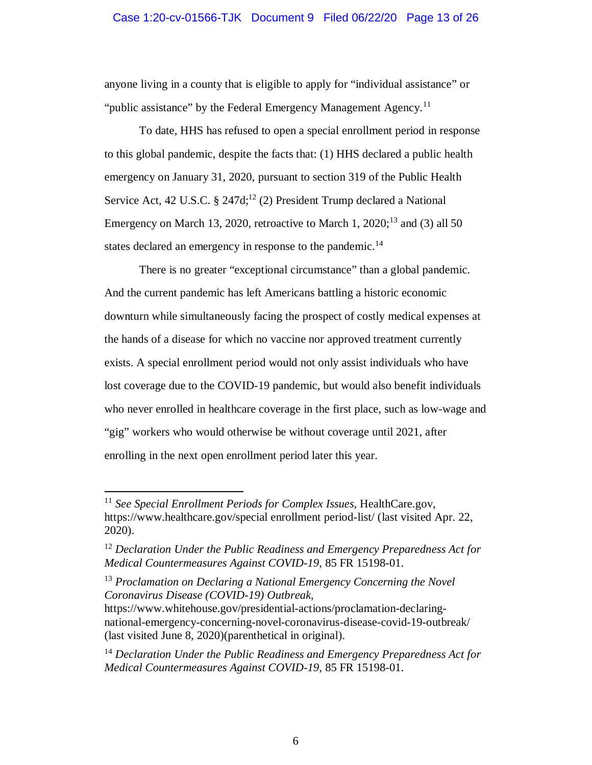#### Case 1:20-cv-01566-TJK Document 9 Filed 06/22/20 Page 13 of 26

anyone living in a county that is eligible to apply for "individual assistance" or "public assistance" by the Federal Emergency Management Agency.<sup>11</sup>

To date, HHS has refused to open a special enrollment period in response to this global pandemic, despite the facts that: (1) HHS declared a public health emergency on January 31, 2020, pursuant to section 319 of the Public Health Service Act, 42 U.S.C.  $\S$  247d;<sup>12</sup> (2) President Trump declared a National Emergency on March 13, 2020, retroactive to March 1,  $2020$ ;<sup>13</sup> and (3) all 50 states declared an emergency in response to the pandemic.<sup>14</sup>

There is no greater "exceptional circumstance" than a global pandemic. And the current pandemic has left Americans battling a historic economic downturn while simultaneously facing the prospect of costly medical expenses at the hands of a disease for which no vaccine nor approved treatment currently exists. A special enrollment period would not only assist individuals who have lost coverage due to the COVID-19 pandemic, but would also benefit individuals who never enrolled in healthcare coverage in the first place, such as low-wage and "gig" workers who would otherwise be without coverage until 2021, after enrolling in the next open enrollment period later this year.

<sup>11</sup> *See Special Enrollment Periods for Complex Issues*, HealthCare.gov, https://www.healthcare.gov/special enrollment period-list/ (last visited Apr. 22, 2020).

<sup>12</sup> *Declaration Under the Public Readiness and Emergency Preparedness Act for Medical Countermeasures Against COVID-19*, 85 FR 15198-01.

<sup>13</sup> *Proclamation on Declaring a National Emergency Concerning the Novel Coronavirus Disease (COVID-19) Outbreak*,

https://www.whitehouse.gov/presidential-actions/proclamation-declaringnational-emergency-concerning-novel-coronavirus-disease-covid-19-outbreak/ (last visited June 8, 2020)(parenthetical in original).

<sup>14</sup> *Declaration Under the Public Readiness and Emergency Preparedness Act for Medical Countermeasures Against COVID-19*, 85 FR 15198-01.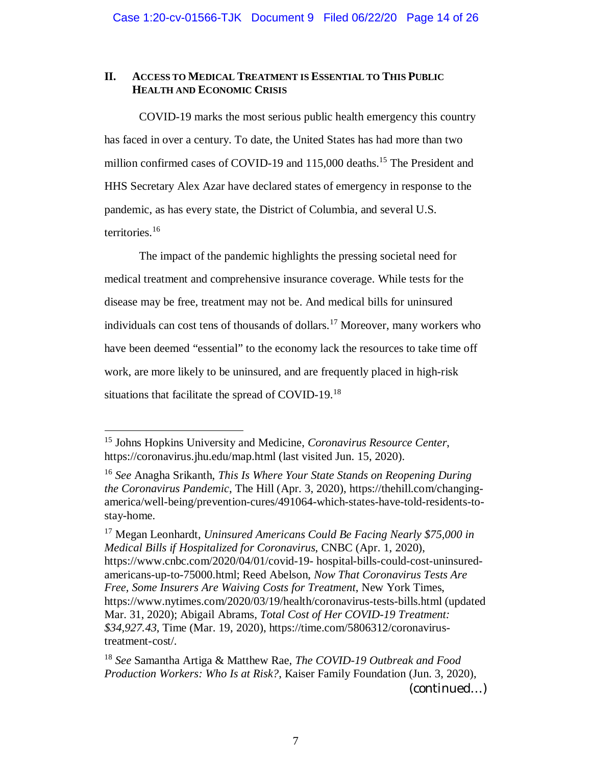### **II. ACCESS TO MEDICAL TREATMENT IS ESSENTIAL TO THIS PUBLIC HEALTH AND ECONOMIC CRISIS**

COVID-19 marks the most serious public health emergency this country has faced in over a century. To date, the United States has had more than two million confirmed cases of COVID-19 and 115,000 deaths.<sup>15</sup> The President and HHS Secretary Alex Azar have declared states of emergency in response to the pandemic, as has every state, the District of Columbia, and several U.S. territories.<sup>16</sup>

The impact of the pandemic highlights the pressing societal need for medical treatment and comprehensive insurance coverage. While tests for the disease may be free, treatment may not be. And medical bills for uninsured individuals can cost tens of thousands of dollars.<sup>17</sup> Moreover, many workers who have been deemed "essential" to the economy lack the resources to take time off work, are more likely to be uninsured, and are frequently placed in high-risk situations that facilitate the spread of COVID-19.<sup>18</sup>

<sup>15</sup> Johns Hopkins University and Medicine, *Coronavirus Resource Center*, https://coronavirus.jhu.edu/map.html (last visited Jun. 15, 2020).

<sup>16</sup> *See* Anagha Srikanth, *This Is Where Your State Stands on Reopening During the Coronavirus Pandemic*, The Hill (Apr. 3, 2020), https://thehill.com/changingamerica/well-being/prevention-cures/491064-which-states-have-told-residents-tostay-home.

<sup>17</sup> Megan Leonhardt, *Uninsured Americans Could Be Facing Nearly \$75,000 in Medical Bills if Hospitalized for Coronavirus*, CNBC (Apr. 1, 2020), https://www.cnbc.com/2020/04/01/covid-19- hospital-bills-could-cost-uninsuredamericans-up-to-75000.html; Reed Abelson, *Now That Coronavirus Tests Are Free, Some Insurers Are Waiving Costs for Treatment*, New York Times, https://www.nytimes.com/2020/03/19/health/coronavirus-tests-bills.html (updated Mar. 31, 2020); Abigail Abrams, *Total Cost of Her COVID-19 Treatment: \$34,927.43*, Time (Mar. 19, 2020), https://time.com/5806312/coronavirustreatment-cost/.

<sup>18</sup> *See* Samantha Artiga & Matthew Rae, *The COVID-19 Outbreak and Food Production Workers: Who Is at Risk?*, Kaiser Family Foundation (Jun. 3, 2020),

<sup>(</sup>continued…)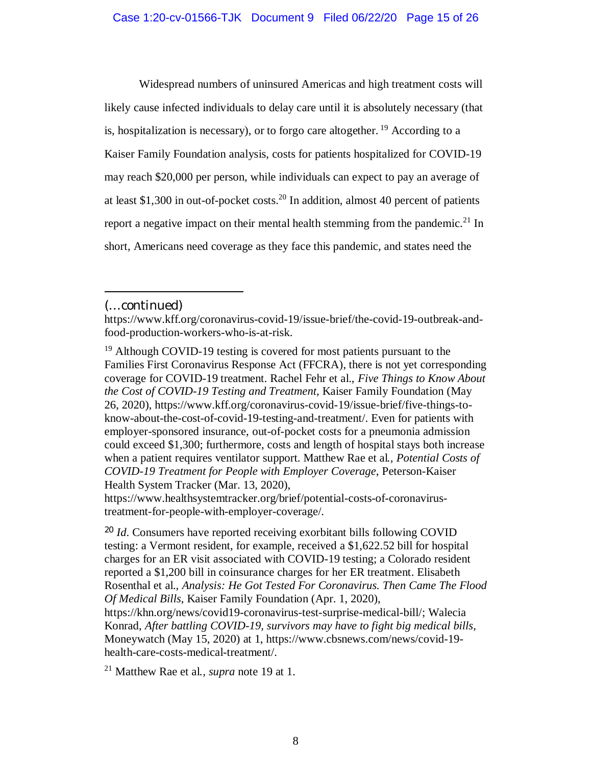Widespread numbers of uninsured Americas and high treatment costs will likely cause infected individuals to delay care until it is absolutely necessary (that is, hospitalization is necessary), or to forgo care altogether.<sup>19</sup> According to a Kaiser Family Foundation analysis, costs for patients hospitalized for COVID-19 may reach \$20,000 per person, while individuals can expect to pay an average of at least \$1,300 in out-of-pocket costs.<sup>20</sup> In addition, almost 40 percent of patients report a negative impact on their mental health stemming from the pandemic.<sup>21</sup> In short, Americans need coverage as they face this pandemic, and states need the

https://www.healthsystemtracker.org/brief/potential-costs-of-coronavirustreatment-for-people-with-employer-coverage/.

<sup>20</sup> *Id*. Consumers have reported receiving exorbitant bills following COVID testing: a Vermont resident, for example, received a \$1,622.52 bill for hospital charges for an ER visit associated with COVID-19 testing; a Colorado resident reported a \$1,200 bill in coinsurance charges for her ER treatment. Elisabeth Rosenthal et al., *Analysis: He Got Tested For Coronavirus. Then Came The Flood Of Medical Bills*, Kaiser Family Foundation (Apr. 1, 2020),

<sup>21</sup> Matthew Rae et al*., supra* note 19 at 1.

<sup>(…</sup>continued)

https://www.kff.org/coronavirus-covid-19/issue-brief/the-covid-19-outbreak-andfood-production-workers-who-is-at-risk.

<sup>&</sup>lt;sup>19</sup> Although COVID-19 testing is covered for most patients pursuant to the Families First Coronavirus Response Act (FFCRA), there is not yet corresponding coverage for COVID-19 treatment. Rachel Fehr et al., *Five Things to Know About the Cost of COVID-19 Testing and Treatment*, Kaiser Family Foundation (May 26, 2020), https://www.kff.org/coronavirus-covid-19/issue-brief/five-things-toknow-about-the-cost-of-covid-19-testing-and-treatment/. Even for patients with employer-sponsored insurance, out-of-pocket costs for a pneumonia admission could exceed \$1,300; furthermore, costs and length of hospital stays both increase when a patient requires ventilator support. Matthew Rae et al*., Potential Costs of COVID-19 Treatment for People with Employer Coverage*, Peterson-Kaiser Health System Tracker (Mar. 13, 2020),

https://khn.org/news/covid19-coronavirus-test-surprise-medical-bill/; Walecia Konrad, *After battling COVID-19, survivors may have to fight big medical bills,* Moneywatch (May 15, 2020) at 1, https://www.cbsnews.com/news/covid-19 health-care-costs-medical-treatment/.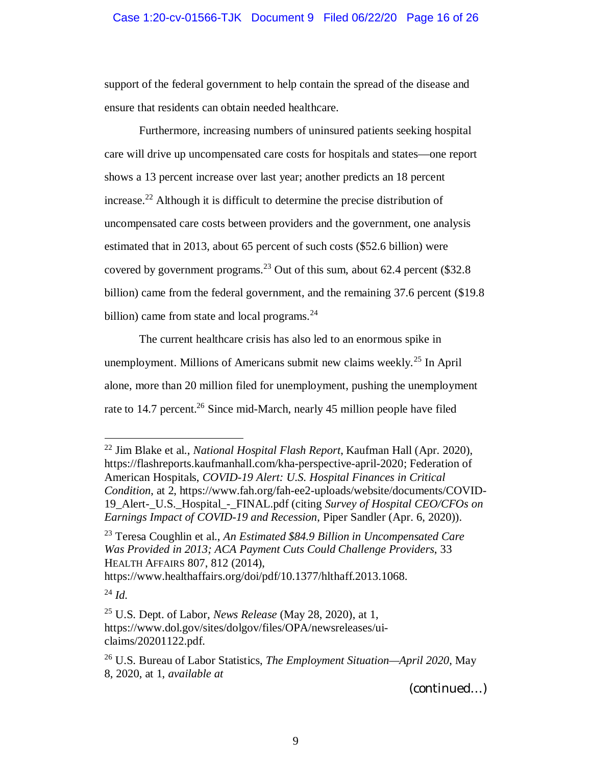### Case 1:20-cv-01566-TJK Document 9 Filed 06/22/20 Page 16 of 26

support of the federal government to help contain the spread of the disease and ensure that residents can obtain needed healthcare.

Furthermore, increasing numbers of uninsured patients seeking hospital care will drive up uncompensated care costs for hospitals and states—one report shows a 13 percent increase over last year; another predicts an 18 percent increase.<sup>22</sup> Although it is difficult to determine the precise distribution of uncompensated care costs between providers and the government, one analysis estimated that in 2013, about 65 percent of such costs (\$52.6 billion) were covered by government programs.<sup>23</sup> Out of this sum, about 62.4 percent (\$32.8) billion) came from the federal government, and the remaining 37.6 percent (\$19.8 billion) came from state and local programs. $24$ 

The current healthcare crisis has also led to an enormous spike in unemployment. Millions of Americans submit new claims weekly.<sup>25</sup> In April alone, more than 20 million filed for unemployment, pushing the unemployment rate to 14.7 percent.<sup>26</sup> Since mid-March, nearly 45 million people have filed

<sup>22</sup> Jim Blake et al., *National Hospital Flash Report*, Kaufman Hall (Apr. 2020), https://flashreports.kaufmanhall.com/kha-perspective-april-2020; Federation of American Hospitals, *COVID-19 Alert: U.S. Hospital Finances in Critical Condition*, at 2, https://www.fah.org/fah-ee2-uploads/website/documents/COVID-19\_Alert-\_U.S.\_Hospital\_-\_FINAL.pdf (citing *Survey of Hospital CEO/CFOs on Earnings Impact of COVID-19 and Recession*, Piper Sandler (Apr. 6, 2020)).

<sup>23</sup> Teresa Coughlin et al., *An Estimated \$84.9 Billion in Uncompensated Care Was Provided in 2013; ACA Payment Cuts Could Challenge Providers*, 33 HEALTH AFFAIRS 807, 812 (2014),

https://www.healthaffairs.org/doi/pdf/10.1377/hlthaff.2013.1068.

<sup>24</sup> *Id.*

<sup>25</sup> U.S. Dept. of Labor, *News Release* (May 28, 2020), at 1, https://www.dol.gov/sites/dolgov/files/OPA/newsreleases/uiclaims/20201122.pdf.

<sup>26</sup> U.S. Bureau of Labor Statistics, *The Employment Situation—April 2020*, May 8, 2020, at 1, *available at*

<sup>(</sup>continued…)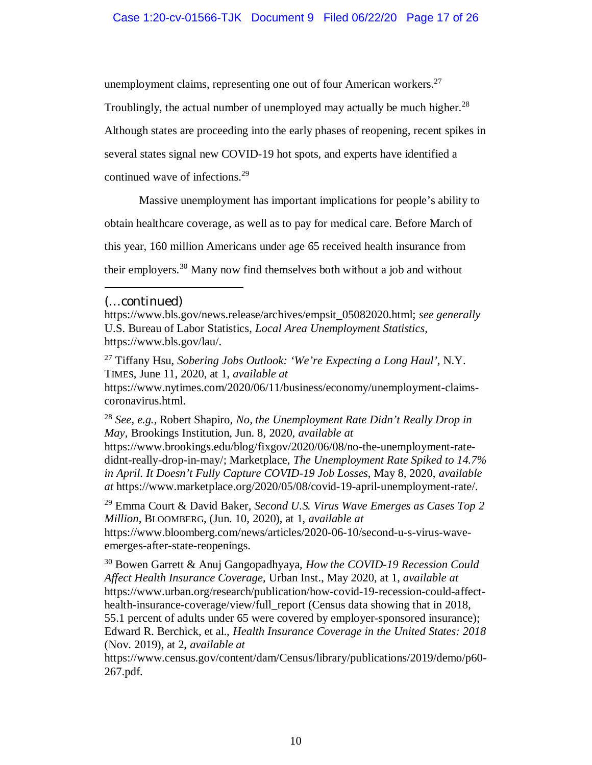unemployment claims, representing one out of four American workers. $27$ 

Troublingly, the actual number of unemployed may actually be much higher.<sup>28</sup>

Although states are proceeding into the early phases of reopening, recent spikes in

several states signal new COVID-19 hot spots, and experts have identified a

continued wave of infections.<sup>29</sup>

Massive unemployment has important implications for people's ability to

obtain healthcare coverage, as well as to pay for medical care. Before March of

this year, 160 million Americans under age 65 received health insurance from

their employers.<sup>30</sup> Many now find themselves both without a job and without

coronavirus.html.

<sup>28</sup> *See, e.g.,* Robert Shapiro, *No, the Unemployment Rate Didn't Really Drop in May,* Brookings Institution, Jun. 8, 2020, *available at*

https://www.brookings.edu/blog/fixgov/2020/06/08/no-the-unemployment-ratedidnt-really-drop-in-may/; Marketplace, *The Unemployment Rate Spiked to 14.7% in April. It Doesn't Fully Capture COVID-19 Job Losses*, May 8, 2020, *available at* https://www.marketplace.org/2020/05/08/covid-19-april-unemployment-rate/.

<sup>29</sup> Emma Court & David Baker*, Second U.S. Virus Wave Emerges as Cases Top 2 Million*, BLOOMBERG, (Jun. 10, 2020), at 1, *available at* https://www.bloomberg.com/news/articles/2020-06-10/second-u-s-virus-waveemerges-after-state-reopenings.

<sup>30</sup> Bowen Garrett & Anuj Gangopadhyaya, *How the COVID-19 Recession Could Affect Health Insurance Coverage,* Urban Inst., May 2020, at 1, *available at* https://www.urban.org/research/publication/how-covid-19-recession-could-affecthealth-insurance-coverage/view/full\_report (Census data showing that in 2018, 55.1 percent of adults under 65 were covered by employer-sponsored insurance); Edward R. Berchick, et al., *Health Insurance Coverage in the United States: 2018* (Nov. 2019), at 2, *available at*

https://www.census.gov/content/dam/Census/library/publications/2019/demo/p60- 267.pdf.

<sup>(…</sup>continued)

https://www.bls.gov/news.release/archives/empsit\_05082020.html; *see generally* U.S. Bureau of Labor Statistics, *Local Area Unemployment Statistics*, https://www.bls.gov/lau/.

<sup>27</sup> Tiffany Hsu, *Sobering Jobs Outlook: 'We're Expecting a Long Haul',* N.Y. TIMES, June 11, 2020, at 1, *available at* https://www.nytimes.com/2020/06/11/business/economy/unemployment-claims-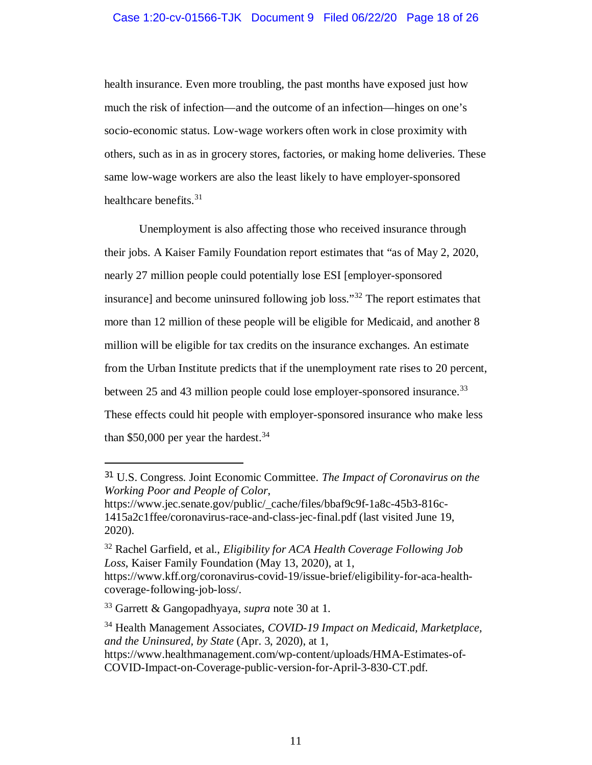#### Case 1:20-cv-01566-TJK Document 9 Filed 06/22/20 Page 18 of 26

health insurance. Even more troubling, the past months have exposed just how much the risk of infection—and the outcome of an infection—hinges on one's socio-economic status. Low-wage workers often work in close proximity with others, such as in as in grocery stores, factories, or making home deliveries. These same low-wage workers are also the least likely to have employer-sponsored healthcare benefits. $31$ 

Unemployment is also affecting those who received insurance through their jobs. A Kaiser Family Foundation report estimates that "as of May 2, 2020, nearly 27 million people could potentially lose ESI [employer-sponsored insurance] and become uninsured following job loss."<sup>32</sup> The report estimates that more than 12 million of these people will be eligible for Medicaid, and another 8 million will be eligible for tax credits on the insurance exchanges. An estimate from the Urban Institute predicts that if the unemployment rate rises to 20 percent, between 25 and 43 million people could lose employer-sponsored insurance.<sup>33</sup> These effects could hit people with employer-sponsored insurance who make less than  $$50,000$  per year the hardest.<sup>34</sup>

<sup>31</sup> U.S. Congress. Joint Economic Committee. *The Impact of Coronavirus on the Working Poor and People of Color*,

https://www.jec.senate.gov/public/\_cache/files/bbaf9c9f-1a8c-45b3-816c-1415a2c1ffee/coronavirus-race-and-class-jec-final.pdf (last visited June 19, 2020).

<sup>32</sup> Rachel Garfield, et al., *Eligibility for ACA Health Coverage Following Job Loss*, Kaiser Family Foundation (May 13, 2020), at 1, https://www.kff.org/coronavirus-covid-19/issue-brief/eligibility-for-aca-health-

coverage-following-job-loss/. <sup>33</sup> Garrett & Gangopadhyaya, *supra* note 30 at 1.

<sup>34</sup> Health Management Associates, *COVID-19 Impact on Medicaid, Marketplace, and the Uninsured, by State* (Apr. 3, 2020), at 1,

https://www.healthmanagement.com/wp-content/uploads/HMA-Estimates-of-COVID-Impact-on-Coverage-public-version-for-April-3-830-CT.pdf.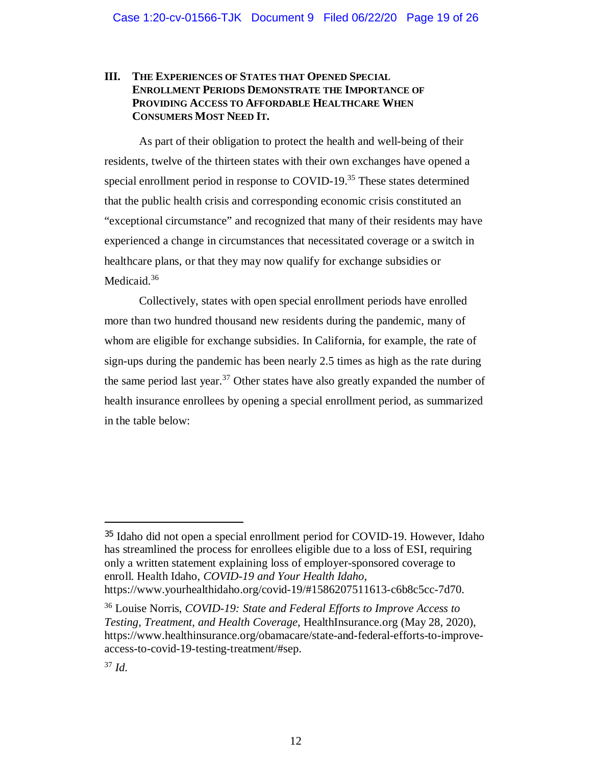### **III. THE EXPERIENCES OF STATES THAT OPENED SPECIAL ENROLLMENT PERIODS DEMONSTRATE THE IMPORTANCE OF PROVIDING ACCESS TO AFFORDABLE HEALTHCARE WHEN CONSUMERS MOST NEED IT.**

As part of their obligation to protect the health and well-being of their residents, twelve of the thirteen states with their own exchanges have opened a special enrollment period in response to COVID-19.<sup>35</sup> These states determined that the public health crisis and corresponding economic crisis constituted an "exceptional circumstance" and recognized that many of their residents may have experienced a change in circumstances that necessitated coverage or a switch in healthcare plans, or that they may now qualify for exchange subsidies or Medicaid.<sup>36</sup>

Collectively, states with open special enrollment periods have enrolled more than two hundred thousand new residents during the pandemic, many of whom are eligible for exchange subsidies. In California, for example, the rate of sign-ups during the pandemic has been nearly 2.5 times as high as the rate during the same period last year.<sup>37</sup> Other states have also greatly expanded the number of health insurance enrollees by opening a special enrollment period, as summarized in the table below:

<sup>35</sup> Idaho did not open a special enrollment period for COVID-19. However, Idaho has streamlined the process for enrollees eligible due to a loss of ESI, requiring only a written statement explaining loss of employer-sponsored coverage to enroll. Health Idaho, *COVID-19 and Your Health Idaho*, https://www.yourhealthidaho.org/covid-19/#1586207511613-c6b8c5cc-7d70.

<sup>36</sup> Louise Norris, *COVID-19: State and Federal Efforts to Improve Access to Testing, Treatment, and Health Coverage*, HealthInsurance.org (May 28, 2020), https://www.healthinsurance.org/obamacare/state-and-federal-efforts-to-improveaccess-to-covid-19-testing-treatment/#sep.

<sup>37</sup> *Id.*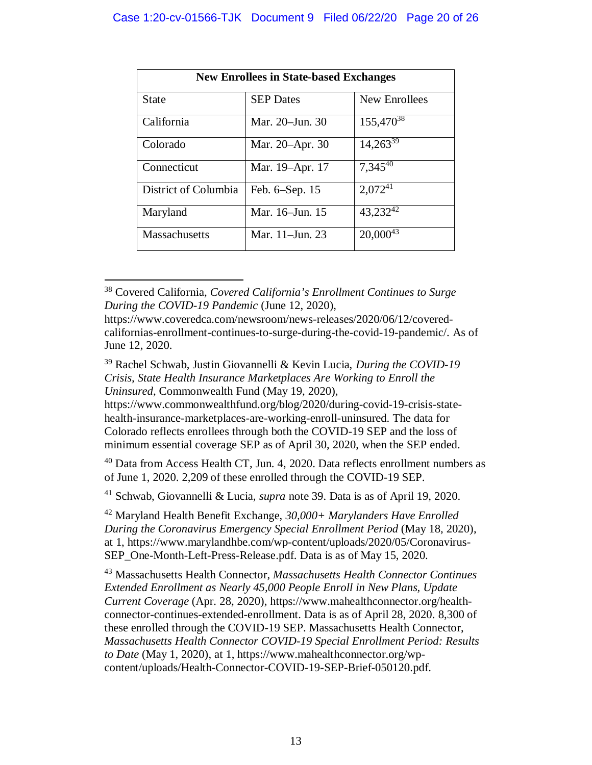| <b>New Enrollees in State-based Exchanges</b> |                  |                |
|-----------------------------------------------|------------------|----------------|
| <b>State</b>                                  | <b>SEP</b> Dates | New Enrollees  |
| California                                    | Mar. 20–Jun. 30  | $155,470^{38}$ |
| Colorado                                      | Mar. 20–Apr. 30  | $14,263^{39}$  |
| Connecticut                                   | Mar. 19–Apr. 17  | 7,34540        |
| District of Columbia                          | Feb. 6–Sep. 15   | $2,072^{41}$   |
| Maryland                                      | Mar. 16–Jun. 15  | 43,23242       |
| <b>Massachusetts</b>                          | Mar. 11–Jun. 23  | $20,000^{43}$  |

<sup>38</sup> Covered California, *Covered California's Enrollment Continues to Surge During the COVID-19 Pandemic* (June 12, 2020),

https://www.commonwealthfund.org/blog/2020/during-covid-19-crisis-statehealth-insurance-marketplaces-are-working-enroll-uninsured. The data for Colorado reflects enrollees through both the COVID-19 SEP and the loss of minimum essential coverage SEP as of April 30, 2020, when the SEP ended.

<sup>40</sup> Data from Access Health CT, Jun. 4, 2020. Data reflects enrollment numbers as of June 1, 2020. 2,209 of these enrolled through the COVID-19 SEP.

<sup>41</sup> Schwab, Giovannelli & Lucia, *supra* note 39. Data is as of April 19, 2020.

<sup>42</sup> Maryland Health Benefit Exchange, *30,000+ Marylanders Have Enrolled During the Coronavirus Emergency Special Enrollment Period* (May 18, 2020), at 1, https://www.marylandhbe.com/wp-content/uploads/2020/05/Coronavirus-SEP One-Month-Left-Press-Release.pdf. Data is as of May 15, 2020.

<sup>43</sup> Massachusetts Health Connector, *Massachusetts Health Connector Continues Extended Enrollment as Nearly 45,000 People Enroll in New Plans, Update Current Coverage* (Apr. 28, 2020), https://www.mahealthconnector.org/healthconnector-continues-extended-enrollment. Data is as of April 28, 2020. 8,300 of these enrolled through the COVID-19 SEP. Massachusetts Health Connector, *Massachusetts Health Connector COVID-19 Special Enrollment Period: Results to Date* (May 1, 2020), at 1, https://www.mahealthconnector.org/wpcontent/uploads/Health-Connector-COVID-19-SEP-Brief-050120.pdf.

https://www.coveredca.com/newsroom/news-releases/2020/06/12/coveredcalifornias-enrollment-continues-to-surge-during-the-covid-19-pandemic/. As of June 12, 2020.

<sup>39</sup> Rachel Schwab, Justin Giovannelli & Kevin Lucia, *During the COVID-19 Crisis, State Health Insurance Marketplaces Are Working to Enroll the Uninsured*, Commonwealth Fund (May 19, 2020),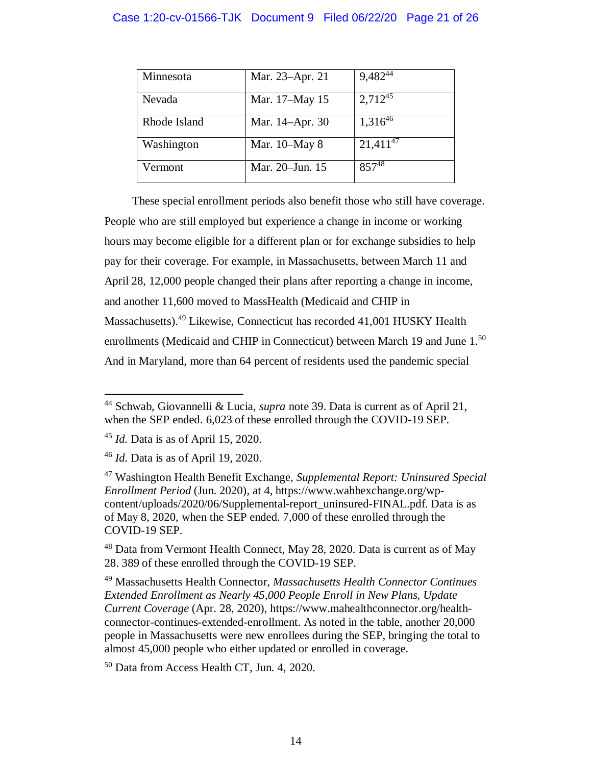### Case 1:20-cv-01566-TJK Document 9 Filed 06/22/20 Page 21 of 26

| Minnesota    | Mar. 23-Apr. 21 | 9,48244       |
|--------------|-----------------|---------------|
| Nevada       | Mar. 17-May 15  | $2,712^{45}$  |
| Rhode Island | Mar. 14–Apr. 30 | $1,316^{46}$  |
| Washington   | Mar. 10–May 8   | $21,411^{47}$ |
| Vermont      | Mar. 20–Jun. 15 | $857^{48}$    |

These special enrollment periods also benefit those who still have coverage. People who are still employed but experience a change in income or working hours may become eligible for a different plan or for exchange subsidies to help pay for their coverage. For example, in Massachusetts, between March 11 and April 28, 12,000 people changed their plans after reporting a change in income, and another 11,600 moved to MassHealth (Medicaid and CHIP in Massachusetts).<sup>49</sup> Likewise, Connecticut has recorded 41,001 HUSKY Health enrollments (Medicaid and CHIP in Connecticut) between March 19 and June 1.<sup>50</sup> And in Maryland, more than 64 percent of residents used the pandemic special

<sup>50</sup> Data from Access Health CT, Jun. 4, 2020.

<sup>44</sup> Schwab, Giovannelli & Lucia, *supra* note 39. Data is current as of April 21, when the SEP ended. 6,023 of these enrolled through the COVID-19 SEP.

<sup>45</sup> *Id.* Data is as of April 15, 2020.

<sup>46</sup> *Id.* Data is as of April 19, 2020.

<sup>47</sup> Washington Health Benefit Exchange, *Supplemental Report: Uninsured Special Enrollment Period* (Jun. 2020), at 4, https://www.wahbexchange.org/wpcontent/uploads/2020/06/Supplemental-report\_uninsured-FINAL.pdf. Data is as of May 8, 2020, when the SEP ended. 7,000 of these enrolled through the COVID-19 SEP.

<sup>&</sup>lt;sup>48</sup> Data from Vermont Health Connect, May 28, 2020. Data is current as of May 28. 389 of these enrolled through the COVID-19 SEP.

<sup>49</sup> Massachusetts Health Connector, *Massachusetts Health Connector Continues Extended Enrollment as Nearly 45,000 People Enroll in New Plans, Update Current Coverage* (Apr. 28, 2020), https://www.mahealthconnector.org/healthconnector-continues-extended-enrollment. As noted in the table, another 20,000 people in Massachusetts were new enrollees during the SEP, bringing the total to almost 45,000 people who either updated or enrolled in coverage.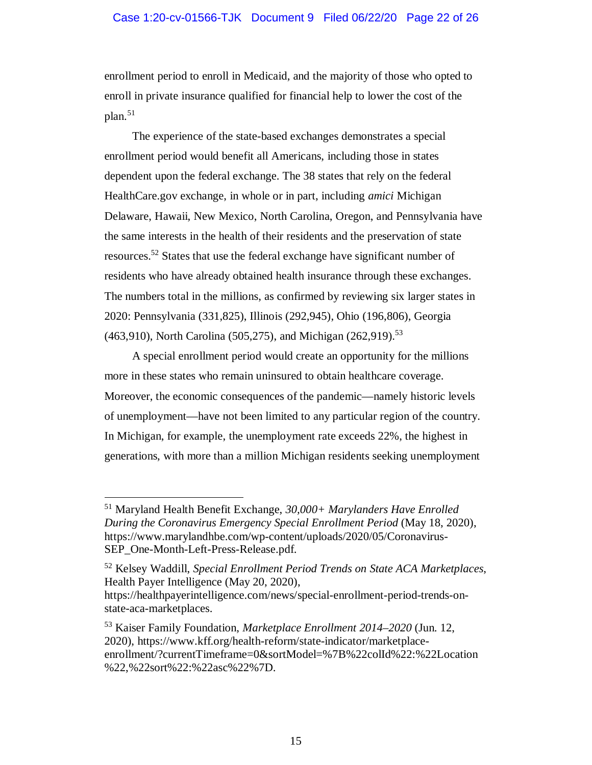### Case 1:20-cv-01566-TJK Document 9 Filed 06/22/20 Page 22 of 26

enrollment period to enroll in Medicaid, and the majority of those who opted to enroll in private insurance qualified for financial help to lower the cost of the  $plan.<sup>51</sup>$ 

The experience of the state-based exchanges demonstrates a special enrollment period would benefit all Americans, including those in states dependent upon the federal exchange. The 38 states that rely on the federal HealthCare.gov exchange, in whole or in part, including *amici* Michigan Delaware, Hawaii, New Mexico, North Carolina, Oregon, and Pennsylvania have the same interests in the health of their residents and the preservation of state resources.<sup>52</sup> States that use the federal exchange have significant number of residents who have already obtained health insurance through these exchanges. The numbers total in the millions, as confirmed by reviewing six larger states in 2020: Pennsylvania (331,825), Illinois (292,945), Ohio (196,806), Georgia  $(463,910)$ , North Carolina (505,275), and Michigan (262,919).<sup>53</sup>

A special enrollment period would create an opportunity for the millions more in these states who remain uninsured to obtain healthcare coverage. Moreover, the economic consequences of the pandemic—namely historic levels of unemployment—have not been limited to any particular region of the country. In Michigan, for example, the unemployment rate exceeds 22%, the highest in generations, with more than a million Michigan residents seeking unemployment

<sup>51</sup> Maryland Health Benefit Exchange, *30,000+ Marylanders Have Enrolled During the Coronavirus Emergency Special Enrollment Period* (May 18, 2020), https://www.marylandhbe.com/wp-content/uploads/2020/05/Coronavirus-SEP\_One-Month-Left-Press-Release.pdf.

<sup>52</sup> Kelsey Waddill, *Special Enrollment Period Trends on State ACA Marketplaces*, Health Payer Intelligence (May 20, 2020),

https://healthpayerintelligence.com/news/special-enrollment-period-trends-onstate-aca-marketplaces.

<sup>53</sup> Kaiser Family Foundation, *Marketplace Enrollment 2014–2020* (Jun. 12, 2020), https://www.kff.org/health-reform/state-indicator/marketplaceenrollment/?currentTimeframe=0&sortModel=%7B%22colId%22:%22Location %22,%22sort%22:%22asc%22%7D.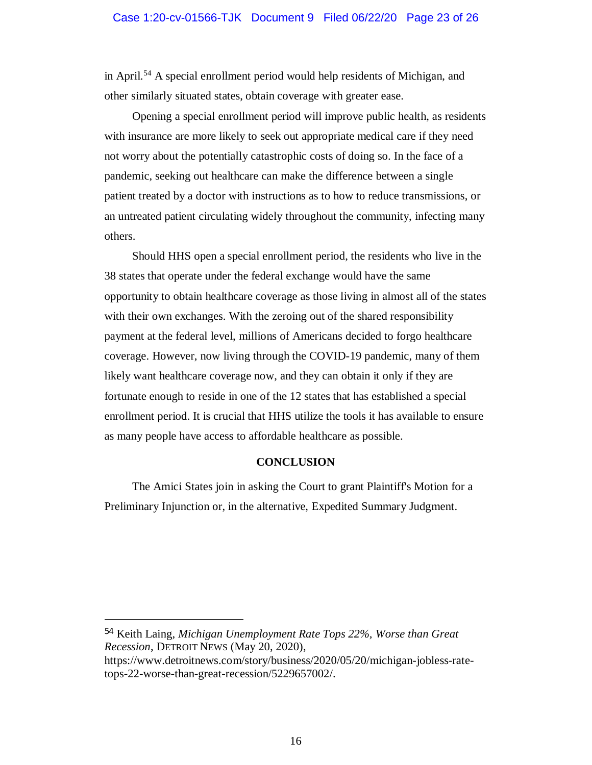#### Case 1:20-cv-01566-TJK Document 9 Filed 06/22/20 Page 23 of 26

in April.<sup>54</sup> A special enrollment period would help residents of Michigan, and other similarly situated states, obtain coverage with greater ease.

Opening a special enrollment period will improve public health, as residents with insurance are more likely to seek out appropriate medical care if they need not worry about the potentially catastrophic costs of doing so. In the face of a pandemic, seeking out healthcare can make the difference between a single patient treated by a doctor with instructions as to how to reduce transmissions, or an untreated patient circulating widely throughout the community, infecting many others.

Should HHS open a special enrollment period, the residents who live in the 38 states that operate under the federal exchange would have the same opportunity to obtain healthcare coverage as those living in almost all of the states with their own exchanges. With the zeroing out of the shared responsibility payment at the federal level, millions of Americans decided to forgo healthcare coverage. However, now living through the COVID-19 pandemic, many of them likely want healthcare coverage now, and they can obtain it only if they are fortunate enough to reside in one of the 12 states that has established a special enrollment period. It is crucial that HHS utilize the tools it has available to ensure as many people have access to affordable healthcare as possible.

#### **CONCLUSION**

The Amici States join in asking the Court to grant Plaintiff's Motion for a Preliminary Injunction or, in the alternative, Expedited Summary Judgment.

<sup>54</sup> Keith Laing, *Michigan Unemployment Rate Tops 22%, Worse than Great Recession*, DETROIT NEWS (May 20, 2020),

https://www.detroitnews.com/story/business/2020/05/20/michigan-jobless-ratetops-22-worse-than-great-recession/5229657002/.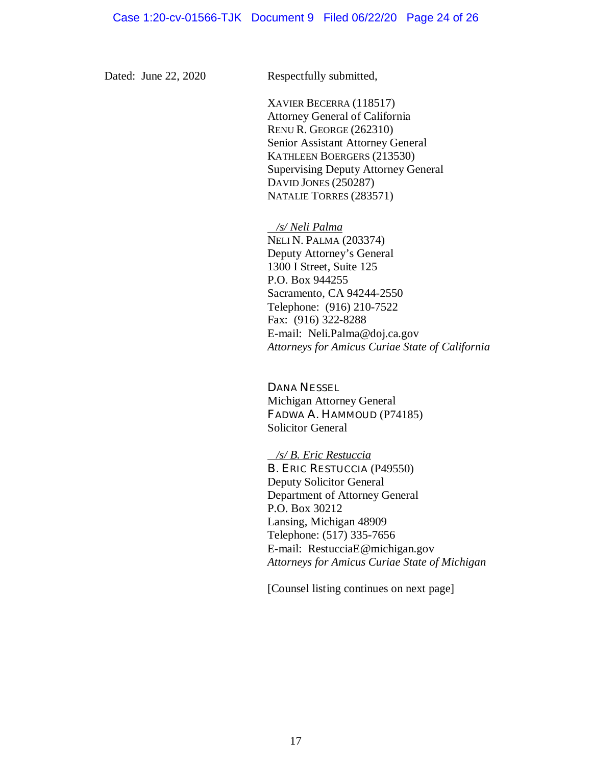Dated: June 22, 2020 Respectfully submitted,

XAVIER BECERRA (118517) Attorney General of California RENU R. GEORGE (262310) Senior Assistant Attorney General KATHLEEN BOERGERS (213530) Supervising Deputy Attorney General DAVID JONES (250287) NATALIE TORRES (283571)

 */s/ Neli Palma* NELI N. PALMA (203374) Deputy Attorney's General 1300 I Street, Suite 125 P.O. Box 944255 Sacramento, CA 94244-2550 Telephone: (916) 210-7522 Fax: (916) 322-8288 E-mail: Neli.Palma@doj.ca.gov *Attorneys for Amicus Curiae State of California*

DANA NESSEL Michigan Attorney General FADWA A. HAMMOUD (P74185) Solicitor General

 */s/ B. Eric Restuccia* B. ERIC RESTUCCIA (P49550) Deputy Solicitor General Department of Attorney General P.O. Box 30212 Lansing, Michigan 48909 Telephone: (517) 335-7656 E-mail: RestucciaE@michigan.gov *Attorneys for Amicus Curiae State of Michigan*

[Counsel listing continues on next page]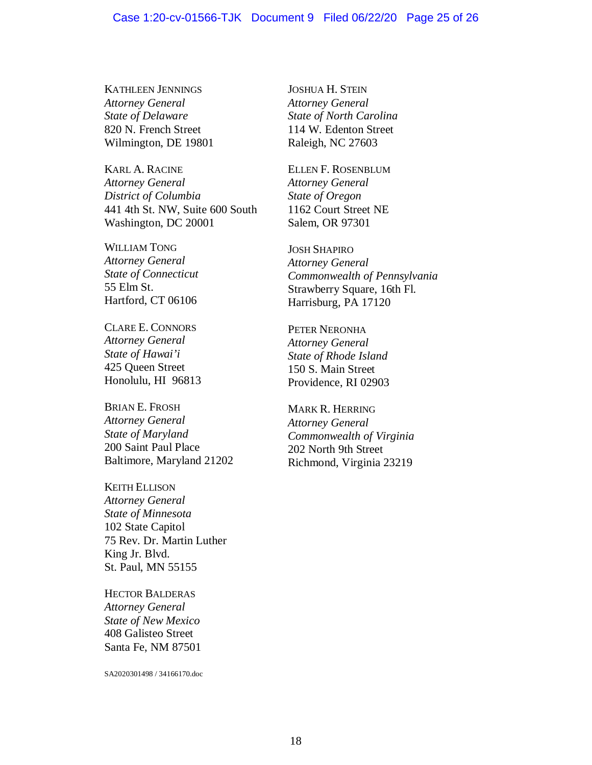#### Case 1:20-cv-01566-TJK Document 9 Filed 06/22/20 Page 25 of 26

KATHLEEN JENNINGS *Attorney General State of Delaware* 820 N. French Street Wilmington, DE 19801

KARL A. RACINE *Attorney General District of Columbia* 441 4th St. NW, Suite 600 South Washington, DC 20001

WILLIAM TONG *Attorney General State of Connecticut* 55 Elm St. Hartford, CT 06106

CLARE E. CONNORS *Attorney General State of Hawai'i* 425 Queen Street Honolulu, HI 96813

BRIAN E. FROSH *Attorney General State of Maryland* 200 Saint Paul Place Baltimore, Maryland 21202

KEITH ELLISON *Attorney General State of Minnesota* 102 State Capitol 75 Rev. Dr. Martin Luther King Jr. Blvd. St. Paul, MN 55155

HECTOR BALDERAS *Attorney General State of New Mexico* 408 Galisteo Street Santa Fe, NM 87501

SA2020301498 / 34166170.doc

JOSHUA H. STEIN *Attorney General State of North Carolina* 114 W. Edenton Street Raleigh, NC 27603

ELLEN F. ROSENBLUM *Attorney General State of Oregon* 1162 Court Street NE Salem, OR 97301

JOSH SHAPIRO *Attorney General Commonwealth of Pennsylvania* Strawberry Square, 16th Fl. Harrisburg, PA 17120

PETER NERONHA *Attorney General State of Rhode Island* 150 S. Main Street Providence, RI 02903

MARK R. HERRING *Attorney General Commonwealth of Virginia* 202 North 9th Street Richmond, Virginia 23219